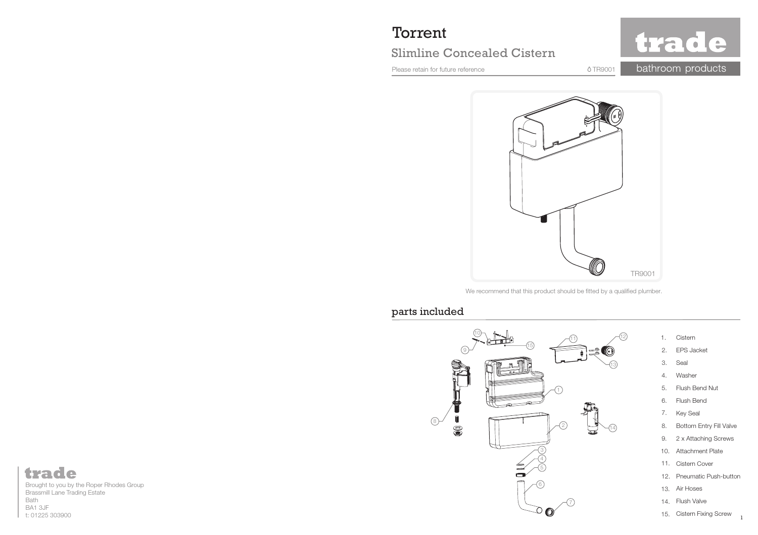# Torrent

# Slimline Concealed Cistern

Please retain for future reference

bathroom products  $0$ TR9001

trade

TR9001

We recommend that this product should be fitted by a qualified plumber.

#### parts included



#### trade Brought to you by the Roper Rhodes Group Brassmill Lane Trading Estate Bath BA1 3JFt: 01225 303900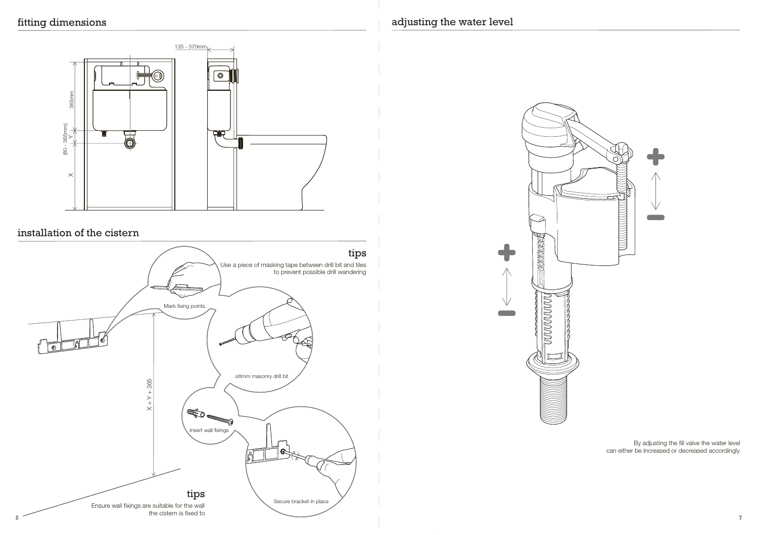

# installation of the cistern



### adjusting the water level



By adjusting the fill valve the water level can either be increased or decreased accordingly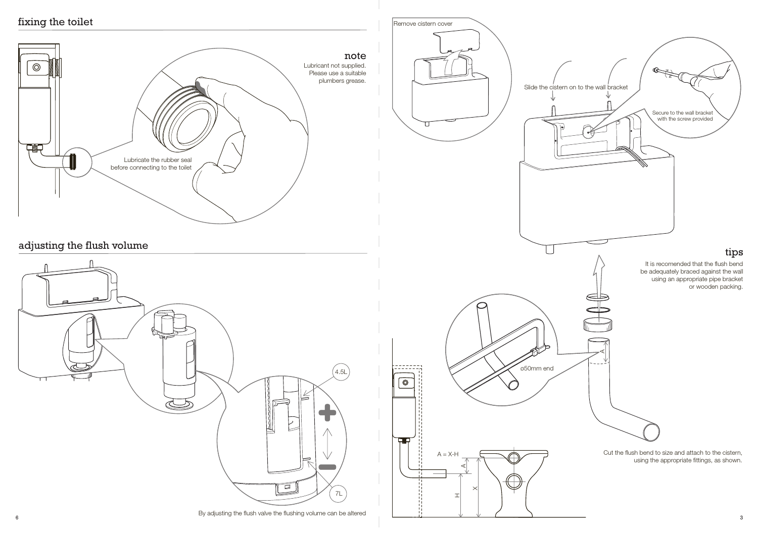